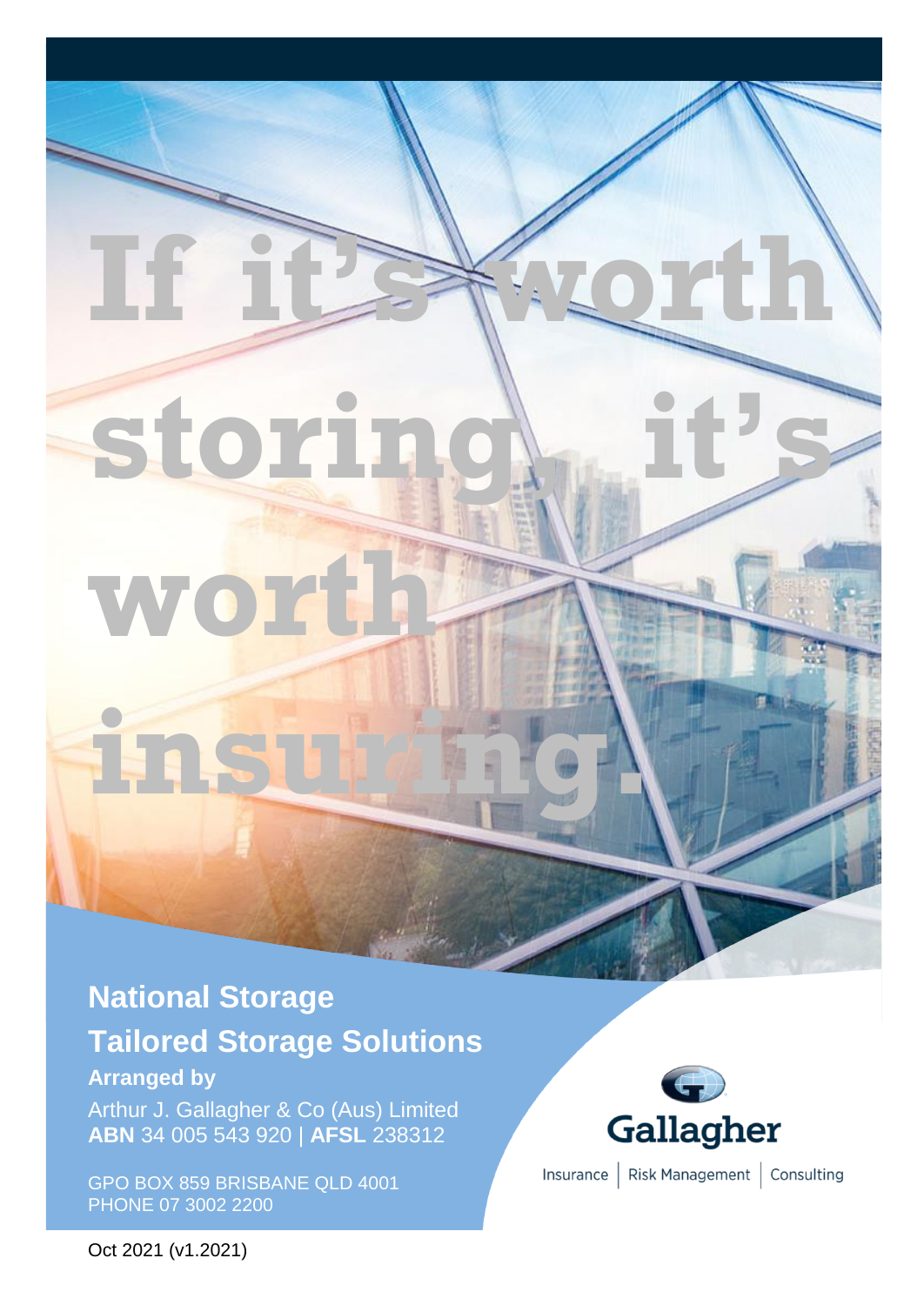# **storin worth**

**insuring.**

**If it's worth** 

## **National Storage**

# **Tailored Storage Solutions**

## **Arranged by**

Arthur J. Gallagher & Co (Aus) Limited **ABN** 34 005 543 920 | **AFSL** 238312

GPO BOX 859 BRISBANE QLD 4001 PHONE 07 3002 2200



Insurance | Risk Management | Consulting

Oct 2021 (v1.2021)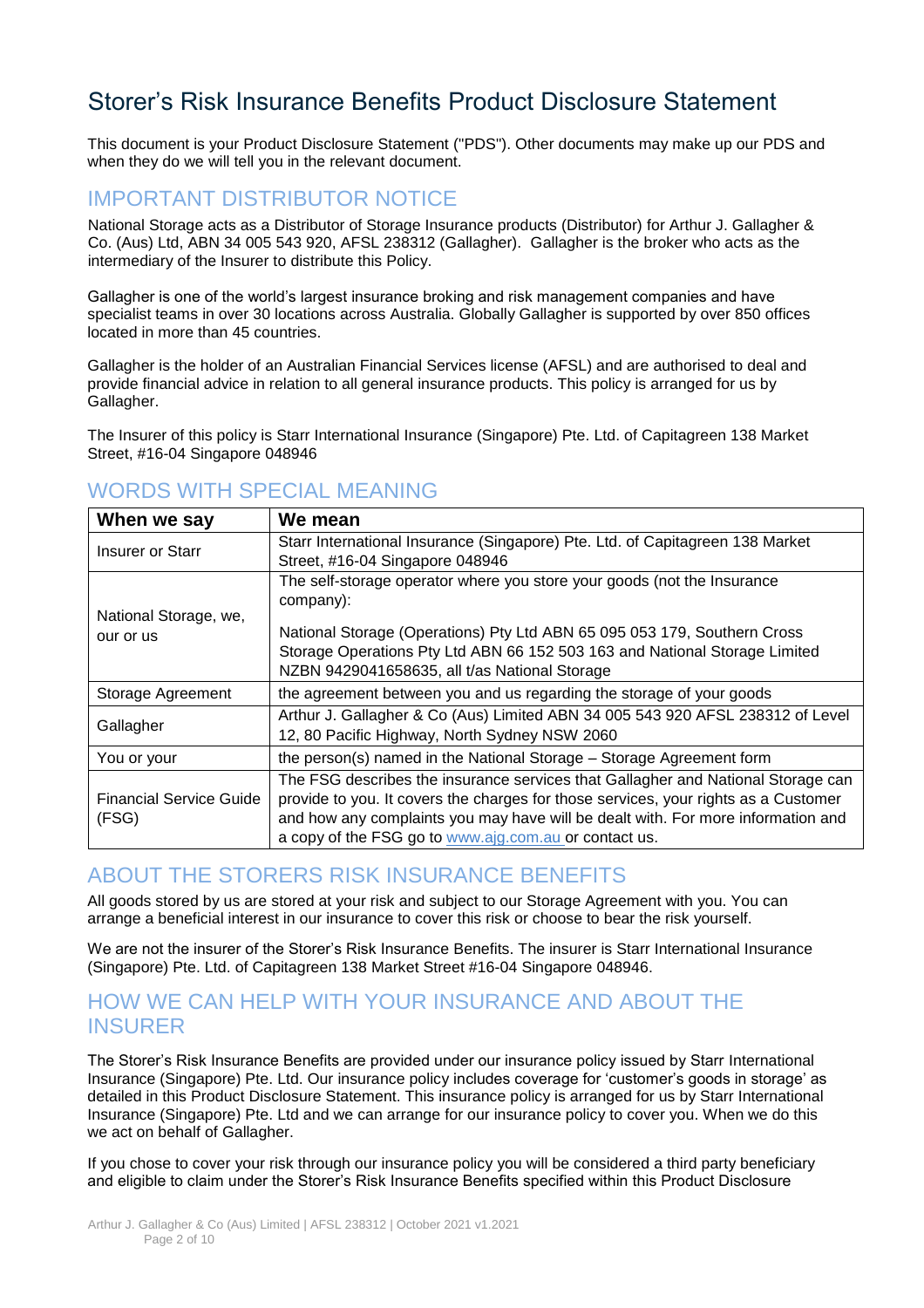## Storer's Risk Insurance Benefits Product Disclosure Statement

This document is your Product Disclosure Statement ("PDS"). Other documents may make up our PDS and when they do we will tell you in the relevant document.

## IMPORTANT DISTRIBUTOR NOTICE

National Storage acts as a Distributor of Storage Insurance products (Distributor) for Arthur J. Gallagher & Co. (Aus) Ltd, ABN 34 005 543 920, AFSL 238312 (Gallagher). Gallagher is the broker who acts as the intermediary of the Insurer to distribute this Policy.

Gallagher is one of the world's largest insurance broking and risk management companies and have specialist teams in over 30 locations across Australia. Globally Gallagher is supported by over 850 offices located in more than 45 countries.

Gallagher is the holder of an Australian Financial Services license (AFSL) and are authorised to deal and provide financial advice in relation to all general insurance products. This policy is arranged for us by Gallagher.

The Insurer of this policy is Starr International Insurance (Singapore) Pte. Ltd. of Capitagreen 138 Market Street, #16-04 Singapore 048946

## WORDS WITH SPECIAL MEANING

| When we say                    | We mean                                                                             |
|--------------------------------|-------------------------------------------------------------------------------------|
| <b>Insurer or Starr</b>        | Starr International Insurance (Singapore) Pte. Ltd. of Capitagreen 138 Market       |
|                                | Street, #16-04 Singapore 048946                                                     |
|                                | The self-storage operator where you store your goods (not the Insurance             |
|                                | company):                                                                           |
| National Storage, we,          |                                                                                     |
| our or us                      | National Storage (Operations) Pty Ltd ABN 65 095 053 179, Southern Cross            |
|                                | Storage Operations Pty Ltd ABN 66 152 503 163 and National Storage Limited          |
|                                | NZBN 9429041658635, all t/as National Storage                                       |
| Storage Agreement              | the agreement between you and us regarding the storage of your goods                |
| Gallagher                      | Arthur J. Gallagher & Co (Aus) Limited ABN 34 005 543 920 AFSL 238312 of Level      |
|                                | 12, 80 Pacific Highway, North Sydney NSW 2060                                       |
| You or your                    | the person(s) named in the National Storage – Storage Agreement form                |
|                                | The FSG describes the insurance services that Gallagher and National Storage can    |
| <b>Financial Service Guide</b> | provide to you. It covers the charges for those services, your rights as a Customer |
| (FSG)                          | and how any complaints you may have will be dealt with. For more information and    |
|                                | a copy of the FSG go to www.ajg.com.au or contact us.                               |

#### ABOUT THE STORERS RISK INSURANCE BENEFITS

All goods stored by us are stored at your risk and subject to our Storage Agreement with you. You can arrange a beneficial interest in our insurance to cover this risk or choose to bear the risk yourself.

We are not the insurer of the Storer's Risk Insurance Benefits. The insurer is Starr International Insurance (Singapore) Pte. Ltd. of Capitagreen 138 Market Street #16-04 Singapore 048946.

#### HOW WE CAN HELP WITH YOUR INSURANCE AND ABOUT THE INSURER

The Storer's Risk Insurance Benefits are provided under our insurance policy issued by Starr International Insurance (Singapore) Pte. Ltd. Our insurance policy includes coverage for 'customer's goods in storage' as detailed in this Product Disclosure Statement. This insurance policy is arranged for us by Starr International Insurance (Singapore) Pte. Ltd and we can arrange for our insurance policy to cover you. When we do this we act on behalf of Gallagher.

If you chose to cover your risk through our insurance policy you will be considered a third party beneficiary and eligible to claim under the Storer's Risk Insurance Benefits specified within this Product Disclosure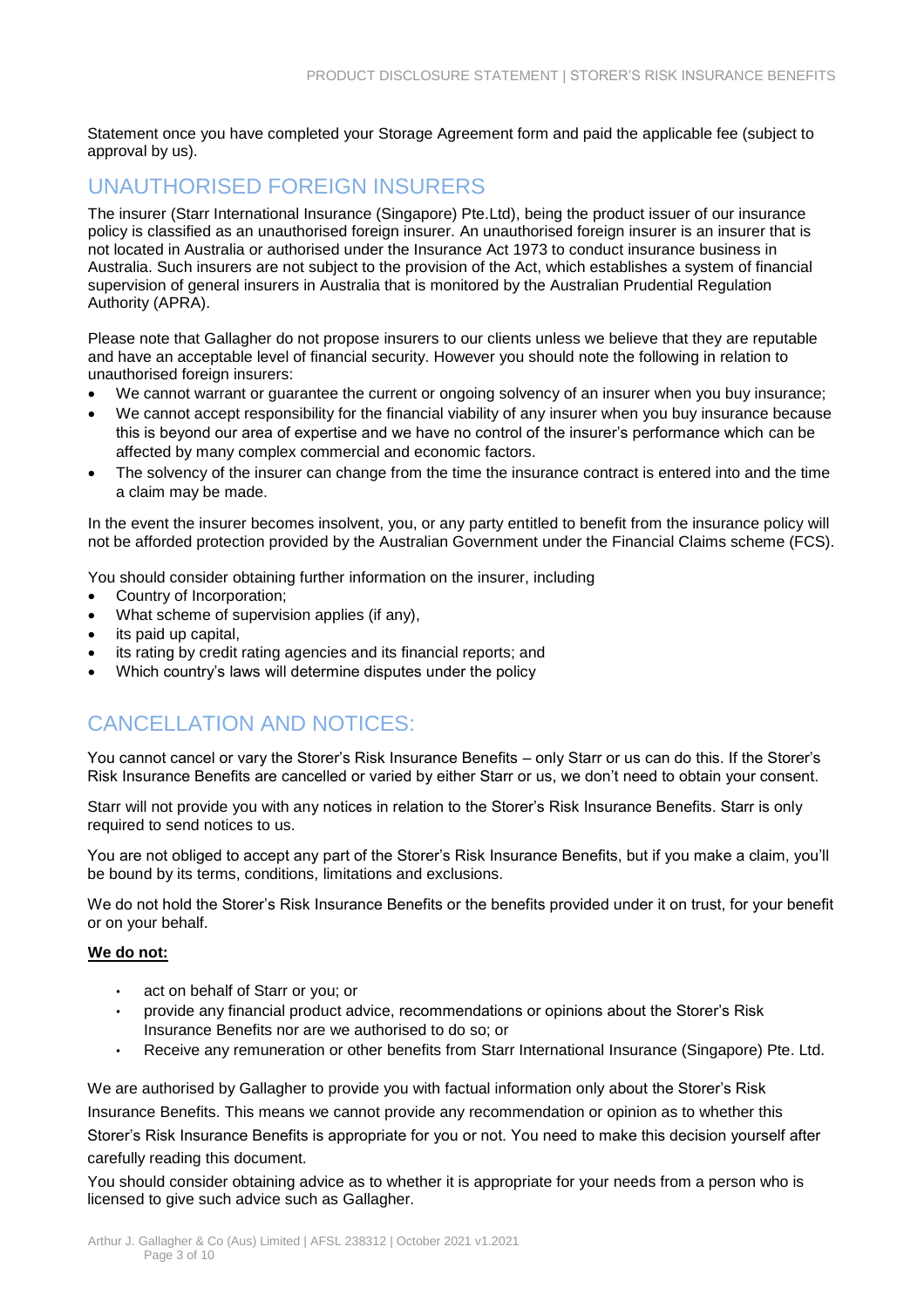Statement once you have completed your Storage Agreement form and paid the applicable fee (subject to approval by us).

## UNAUTHORISED FOREIGN INSURERS

The insurer (Starr International Insurance (Singapore) Pte.Ltd), being the product issuer of our insurance policy is classified as an unauthorised foreign insurer. An unauthorised foreign insurer is an insurer that is not located in Australia or authorised under the Insurance Act 1973 to conduct insurance business in Australia. Such insurers are not subject to the provision of the Act, which establishes a system of financial supervision of general insurers in Australia that is monitored by the Australian Prudential Regulation Authority (APRA).

Please note that Gallagher do not propose insurers to our clients unless we believe that they are reputable and have an acceptable level of financial security. However you should note the following in relation to unauthorised foreign insurers:

- We cannot warrant or guarantee the current or ongoing solvency of an insurer when you buy insurance;
- We cannot accept responsibility for the financial viability of any insurer when you buy insurance because this is beyond our area of expertise and we have no control of the insurer's performance which can be affected by many complex commercial and economic factors.
- The solvency of the insurer can change from the time the insurance contract is entered into and the time a claim may be made.

In the event the insurer becomes insolvent, you, or any party entitled to benefit from the insurance policy will not be afforded protection provided by the Australian Government under the Financial Claims scheme (FCS).

You should consider obtaining further information on the insurer, including

- Country of Incorporation;
- What scheme of supervision applies (if any),
- its paid up capital,
- its rating by credit rating agencies and its financial reports; and
- Which country's laws will determine disputes under the policy

## CANCELLATION AND NOTICES:

You cannot cancel or vary the Storer's Risk Insurance Benefits – only Starr or us can do this. If the Storer's Risk Insurance Benefits are cancelled or varied by either Starr or us, we don't need to obtain your consent.

Starr will not provide you with any notices in relation to the Storer's Risk Insurance Benefits. Starr is only required to send notices to us.

You are not obliged to accept any part of the Storer's Risk Insurance Benefits, but if you make a claim, you'll be bound by its terms, conditions, limitations and exclusions.

We do not hold the Storer's Risk Insurance Benefits or the benefits provided under it on trust, for your benefit or on your behalf.

#### **We do not:**

- act on behalf of Starr or you; or
- provide any financial product advice, recommendations or opinions about the Storer's Risk Insurance Benefits nor are we authorised to do so; or
- Receive any remuneration or other benefits from Starr International Insurance (Singapore) Pte. Ltd.

We are authorised by Gallagher to provide you with factual information only about the Storer's Risk Insurance Benefits. This means we cannot provide any recommendation or opinion as to whether this Storer's Risk Insurance Benefits is appropriate for you or not. You need to make this decision yourself after carefully reading this document.

You should consider obtaining advice as to whether it is appropriate for your needs from a person who is licensed to give such advice such as Gallagher.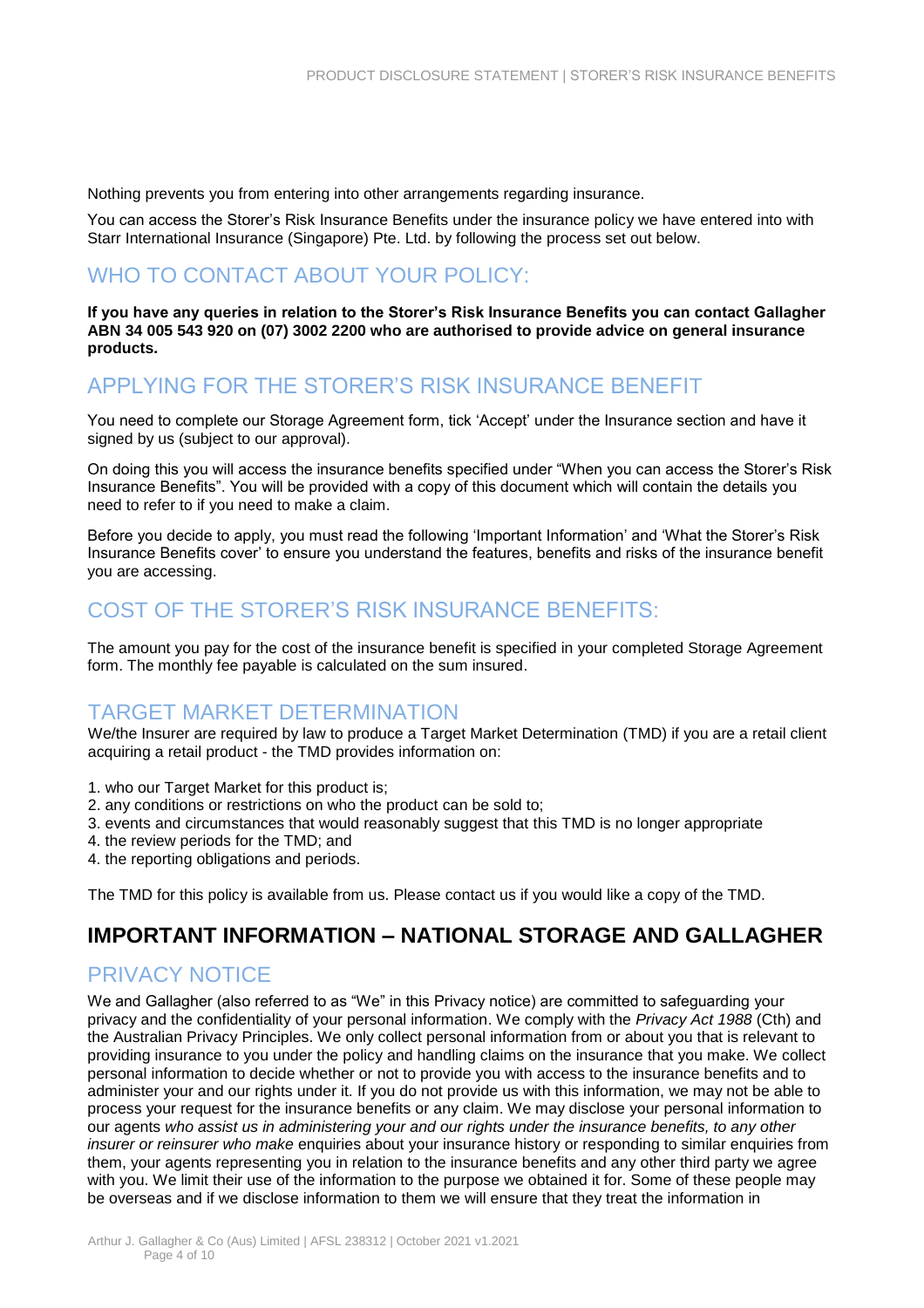Nothing prevents you from entering into other arrangements regarding insurance.

You can access the Storer's Risk Insurance Benefits under the insurance policy we have entered into with Starr International Insurance (Singapore) Pte. Ltd. by following the process set out below.

## WHO TO CONTACT ABOUT YOUR POLICY:

**If you have any queries in relation to the Storer's Risk Insurance Benefits you can contact Gallagher ABN 34 005 543 920 on (07) 3002 2200 who are authorised to provide advice on general insurance products.** 

## APPLYING FOR THE STORER'S RISK INSURANCE BENEFIT

You need to complete our Storage Agreement form, tick 'Accept' under the Insurance section and have it signed by us (subject to our approval).

On doing this you will access the insurance benefits specified under "When you can access the Storer's Risk Insurance Benefits". You will be provided with a copy of this document which will contain the details you need to refer to if you need to make a claim.

Before you decide to apply, you must read the following 'Important Information' and 'What the Storer's Risk Insurance Benefits cover' to ensure you understand the features, benefits and risks of the insurance benefit you are accessing.

## COST OF THE STORER'S RISK INSURANCE BENEFITS:

The amount you pay for the cost of the insurance benefit is specified in your completed Storage Agreement form. The monthly fee payable is calculated on the sum insured.

#### TARGET MARKET DETERMINATION

We/the Insurer are required by law to produce a Target Market Determination (TMD) if you are a retail client acquiring a retail product - the TMD provides information on:

- 1. who our Target Market for this product is;
- 2. any conditions or restrictions on who the product can be sold to;
- 3. events and circumstances that would reasonably suggest that this TMD is no longer appropriate
- 4. the review periods for the TMD; and
- 4. the reporting obligations and periods.

The TMD for this policy is available from us. Please contact us if you would like a copy of the TMD.

## **IMPORTANT INFORMATION – NATIONAL STORAGE AND GALLAGHER**

#### PRIVACY NOTICE

We and Gallagher (also referred to as "We" in this Privacy notice) are committed to safeguarding your privacy and the confidentiality of your personal information. We comply with the *Privacy Act 1988* (Cth) and the Australian Privacy Principles. We only collect personal information from or about you that is relevant to providing insurance to you under the policy and handling claims on the insurance that you make. We collect personal information to decide whether or not to provide you with access to the insurance benefits and to administer your and our rights under it. If you do not provide us with this information, we may not be able to process your request for the insurance benefits or any claim. We may disclose your personal information to our agents *who assist us in administering your and our rights under the insurance benefits, to any other insurer or reinsurer who make* enquiries about your insurance history or responding to similar enquiries from them, your agents representing you in relation to the insurance benefits and any other third party we agree with you. We limit their use of the information to the purpose we obtained it for. Some of these people may be overseas and if we disclose information to them we will ensure that they treat the information in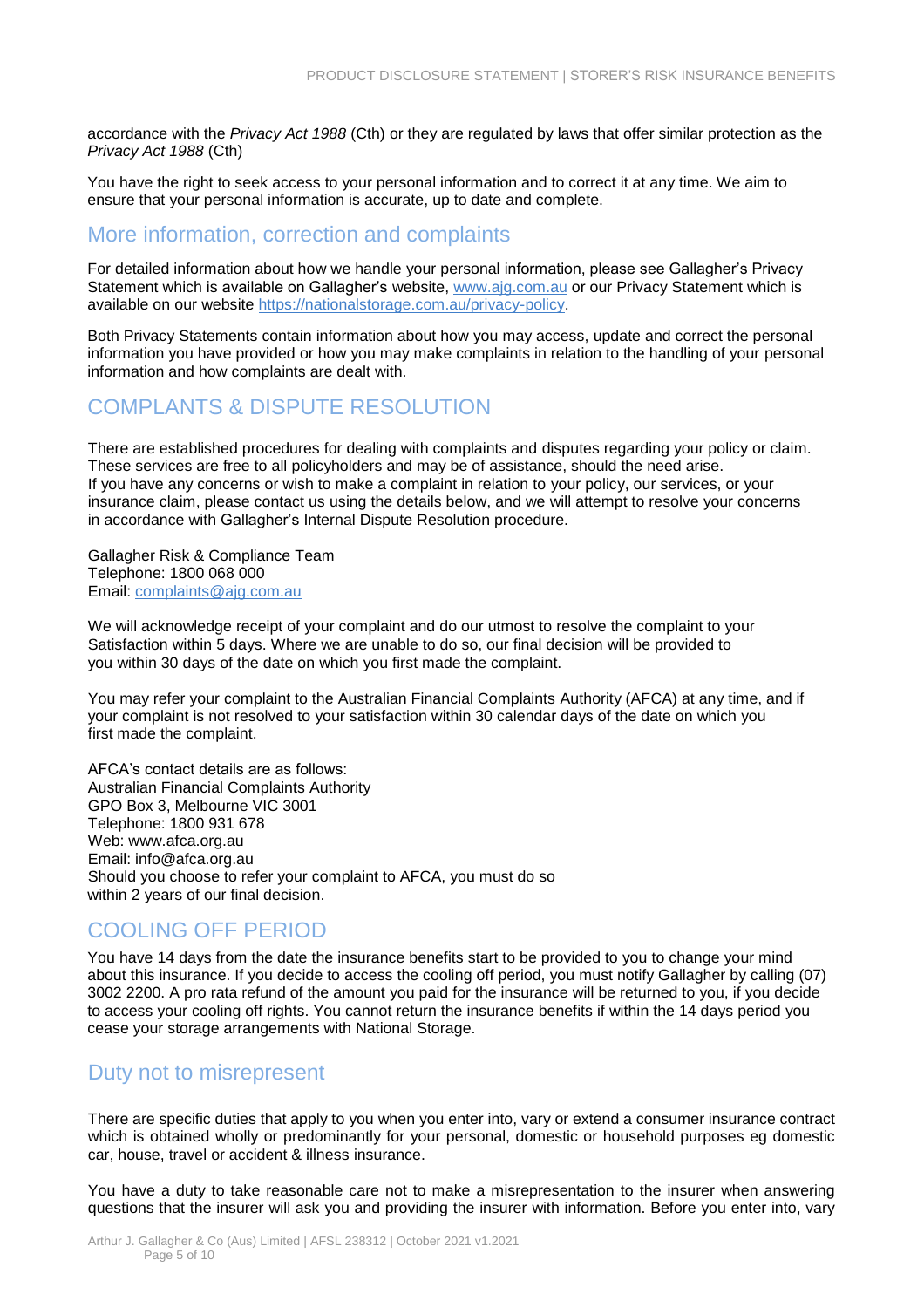accordance with the *Privacy Act 1988* (Cth) or they are regulated by laws that offer similar protection as the *Privacy Act 1988* (Cth)

You have the right to seek access to your personal information and to correct it at any time. We aim to ensure that your personal information is accurate, up to date and complete.

#### More information, correction and complaints

For detailed information about how we handle your personal information, please see Gallagher's Privacy Statement which is available on Gallagher's website, [www.ajg.com.au](http://www.ajg.com.au/) or our Privacy Statement which is available on our website [https://nationalstorage.com.au/privacy-policy.](https://nationalstorage.com.au/privacy-policy)

Both Privacy Statements contain information about how you may access, update and correct the personal information you have provided or how you may make complaints in relation to the handling of your personal information and how complaints are dealt with.

#### COMPLANTS & DISPUTE RESOLUTION

There are established procedures for dealing with complaints and disputes regarding your policy or claim. These services are free to all policyholders and may be of assistance, should the need arise. If you have any concerns or wish to make a complaint in relation to your policy, our services, or your insurance claim, please contact us using the details below, and we will attempt to resolve your concerns in accordance with Gallagher's Internal Dispute Resolution procedure.

Gallagher Risk & Compliance Team Telephone: 1800 068 000 Email: [complaints@ajg.com.au](mailto:complaints@ajg.com.au)

We will acknowledge receipt of your complaint and do our utmost to resolve the complaint to your Satisfaction within 5 days. Where we are unable to do so, our final decision will be provided to you within 30 days of the date on which you first made the complaint.

You may refer your complaint to the Australian Financial Complaints Authority (AFCA) at any time, and if your complaint is not resolved to your satisfaction within 30 calendar days of the date on which you first made the complaint.

AFCA's contact details are as follows: Australian Financial Complaints Authority GPO Box 3, Melbourne VIC 3001 Telephone: 1800 931 678 Web: www.afca.org.au Email: info@afca.org.au Should you choose to refer your complaint to AFCA, you must do so within 2 years of our final decision.

#### COOLING OFF PERIOD

You have 14 days from the date the insurance benefits start to be provided to you to change your mind about this insurance. If you decide to access the cooling off period, you must notify Gallagher by calling (07) 3002 2200. A pro rata refund of the amount you paid for the insurance will be returned to you, if you decide to access your cooling off rights. You cannot return the insurance benefits if within the 14 days period you cease your storage arrangements with National Storage.

#### Duty not to misrepresent

There are specific duties that apply to you when you enter into, vary or extend a consumer insurance contract which is obtained wholly or predominantly for your personal, domestic or household purposes eg domestic car, house, travel or accident & illness insurance.

You have a duty to take reasonable care not to make a misrepresentation to the insurer when answering questions that the insurer will ask you and providing the insurer with information. Before you enter into, vary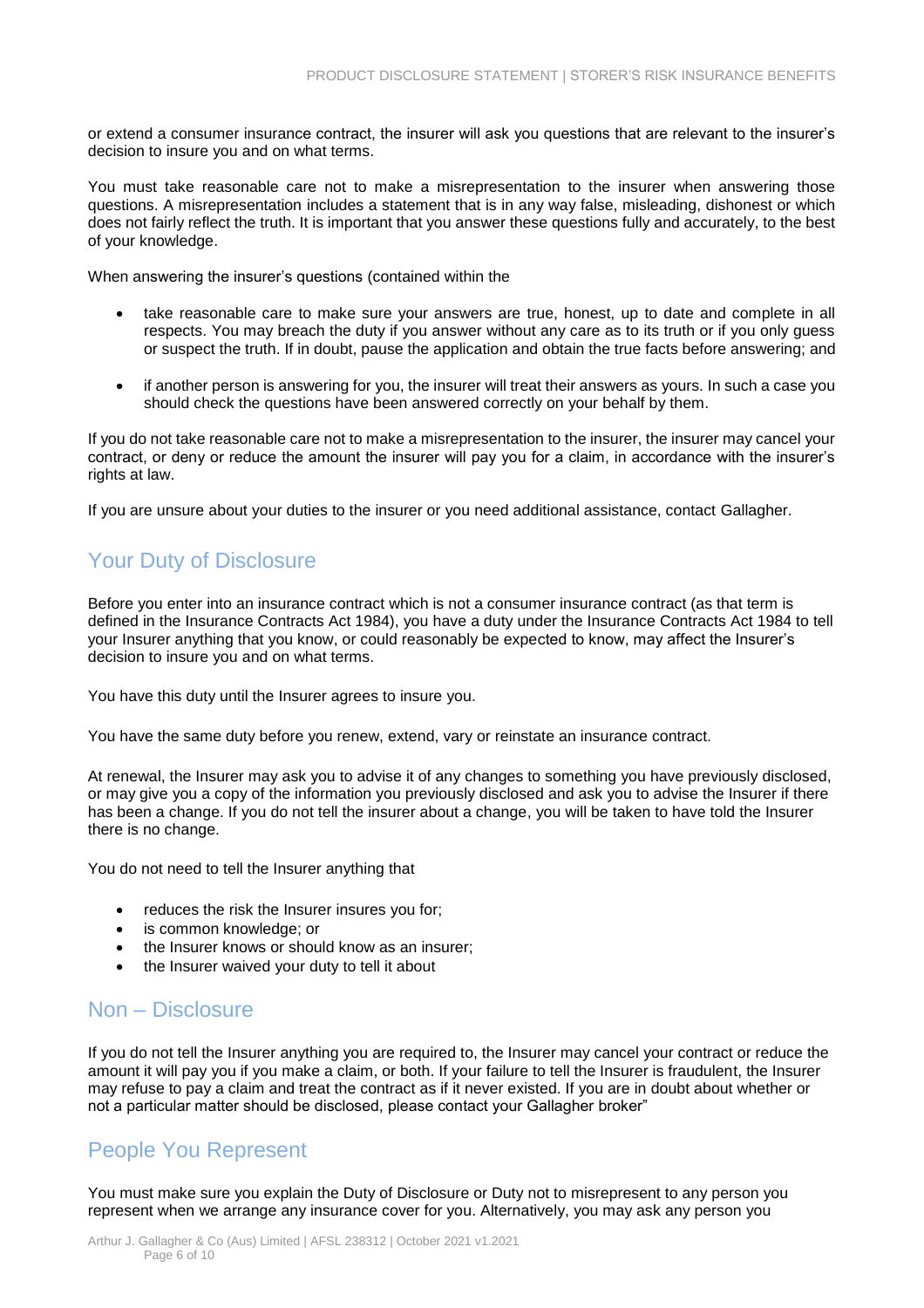or extend a consumer insurance contract, the insurer will ask you questions that are relevant to the insurer's decision to insure you and on what terms.

You must take reasonable care not to make a misrepresentation to the insurer when answering those questions. A misrepresentation includes a statement that is in any way false, misleading, dishonest or which does not fairly reflect the truth. It is important that you answer these questions fully and accurately, to the best of your knowledge.

When answering the insurer's questions (contained within the

- take reasonable care to make sure your answers are true, honest, up to date and complete in all respects. You may breach the duty if you answer without any care as to its truth or if you only guess or suspect the truth. If in doubt, pause the application and obtain the true facts before answering; and
- if another person is answering for you, the insurer will treat their answers as yours. In such a case you should check the questions have been answered correctly on your behalf by them.

If you do not take reasonable care not to make a misrepresentation to the insurer, the insurer may cancel your contract, or deny or reduce the amount the insurer will pay you for a claim, in accordance with the insurer's rights at law.

If you are unsure about your duties to the insurer or you need additional assistance, contact Gallagher.

## Your Duty of Disclosure

Before you enter into an insurance contract which is not a consumer insurance contract (as that term is defined in the Insurance Contracts Act 1984), you have a duty under the Insurance Contracts Act 1984 to tell your Insurer anything that you know, or could reasonably be expected to know, may affect the Insurer's decision to insure you and on what terms.

You have this duty until the Insurer agrees to insure you.

You have the same duty before you renew, extend, vary or reinstate an insurance contract.

At renewal, the Insurer may ask you to advise it of any changes to something you have previously disclosed, or may give you a copy of the information you previously disclosed and ask you to advise the Insurer if there has been a change. If you do not tell the insurer about a change, you will be taken to have told the Insurer there is no change.

You do not need to tell the Insurer anything that

- reduces the risk the Insurer insures you for;
- is common knowledge; or
- the Insurer knows or should know as an insurer;
- the Insurer waived your duty to tell it about

#### Non – Disclosure

If you do not tell the Insurer anything you are required to, the Insurer may cancel your contract or reduce the amount it will pay you if you make a claim, or both. If your failure to tell the Insurer is fraudulent, the Insurer may refuse to pay a claim and treat the contract as if it never existed. If you are in doubt about whether or not a particular matter should be disclosed, please contact your Gallagher broker"

#### People You Represent

You must make sure you explain the Duty of Disclosure or Duty not to misrepresent to any person you represent when we arrange any insurance cover for you. Alternatively, you may ask any person you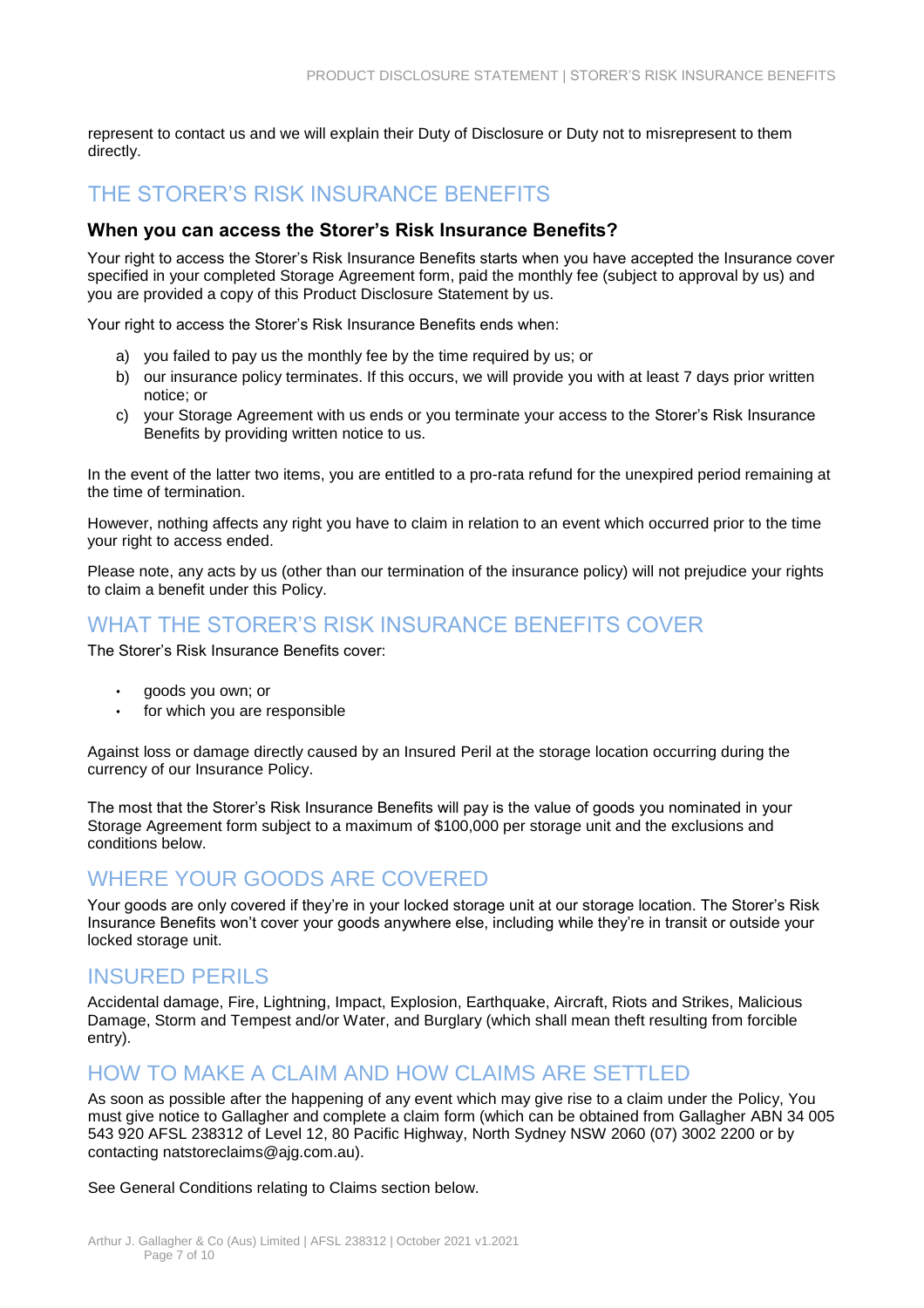represent to contact us and we will explain their Duty of Disclosure or Duty not to misrepresent to them directly.

### THE STORER'S RISK INSURANCE BENEFITS

#### **When you can access the Storer's Risk Insurance Benefits?**

Your right to access the Storer's Risk Insurance Benefits starts when you have accepted the Insurance cover specified in your completed Storage Agreement form, paid the monthly fee (subject to approval by us) and you are provided a copy of this Product Disclosure Statement by us.

Your right to access the Storer's Risk Insurance Benefits ends when:

- a) you failed to pay us the monthly fee by the time required by us; or
- b) our insurance policy terminates. If this occurs, we will provide you with at least 7 days prior written notice; or
- c) your Storage Agreement with us ends or you terminate your access to the Storer's Risk Insurance Benefits by providing written notice to us.

In the event of the latter two items, you are entitled to a pro-rata refund for the unexpired period remaining at the time of termination.

However, nothing affects any right you have to claim in relation to an event which occurred prior to the time your right to access ended.

Please note, any acts by us (other than our termination of the insurance policy) will not prejudice your rights to claim a benefit under this Policy.

#### WHAT THE STORER'S RISK INSURANCE BENEFITS COVER

The Storer's Risk Insurance Benefits cover:

- goods you own; or
- for which you are responsible

Against loss or damage directly caused by an Insured Peril at the storage location occurring during the currency of our Insurance Policy.

The most that the Storer's Risk Insurance Benefits will pay is the value of goods you nominated in your Storage Agreement form subject to a maximum of \$100,000 per storage unit and the exclusions and conditions below.

## WHERE YOUR GOODS ARE COVERED

Your goods are only covered if they're in your locked storage unit at our storage location. The Storer's Risk Insurance Benefits won't cover your goods anywhere else, including while they're in transit or outside your locked storage unit.

#### INSURED PERILS

Accidental damage, Fire, Lightning, Impact, Explosion, Earthquake, Aircraft, Riots and Strikes, Malicious Damage, Storm and Tempest and/or Water, and Burglary (which shall mean theft resulting from forcible entry).

#### HOW TO MAKE A CLAIM AND HOW CLAIMS ARE SETTLED

As soon as possible after the happening of any event which may give rise to a claim under the Policy, You must give notice to Gallagher and complete a claim form (which can be obtained from Gallagher ABN 34 005 543 920 AFSL 238312 of Level 12, 80 Pacific Highway, North Sydney NSW 2060 (07) 3002 2200 or by contacting [natstoreclaims@ajg.com.au\)](mailto:natstoreclaims@ajg.com.au).

See General Conditions relating to Claims section below.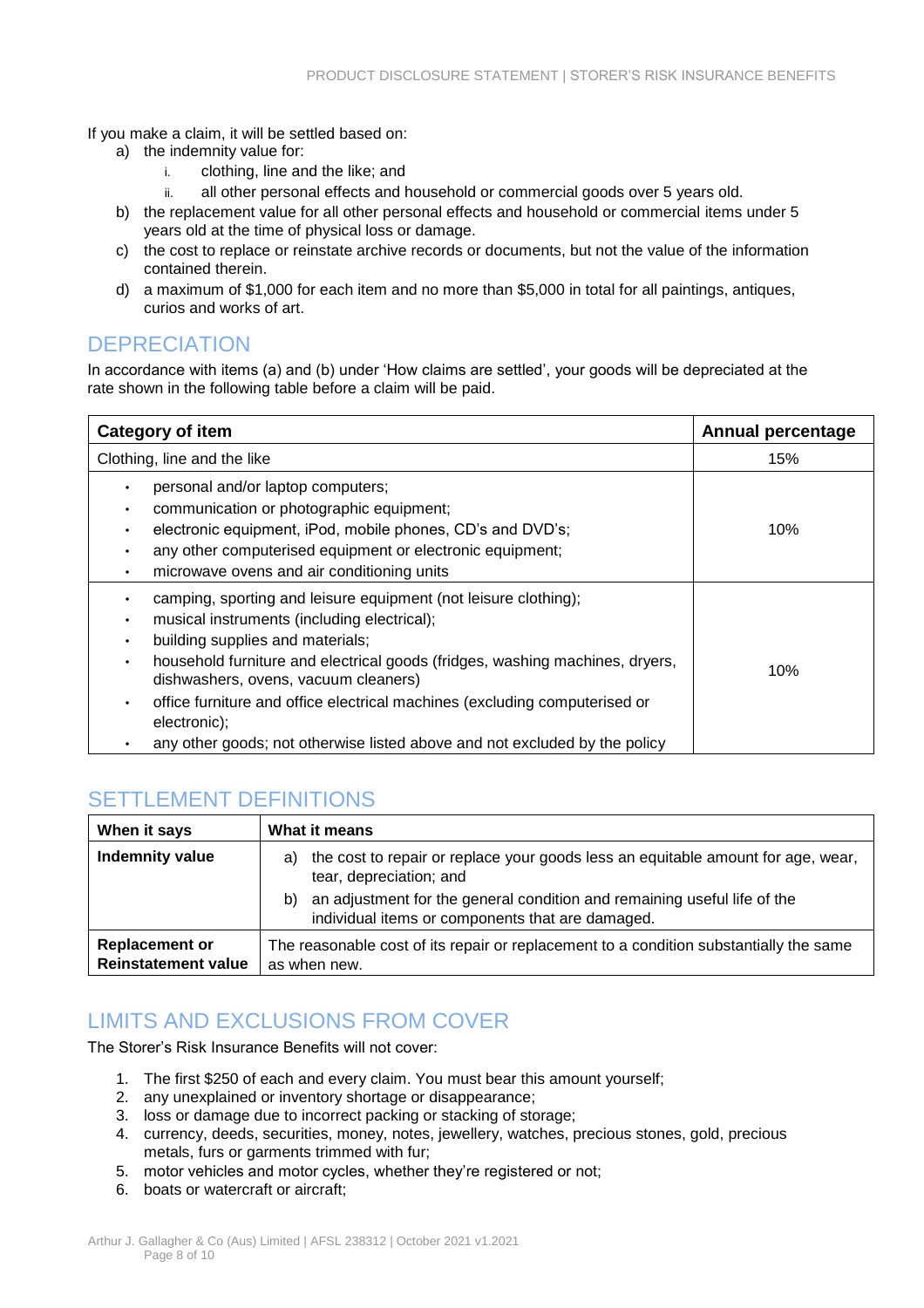If you make a claim, it will be settled based on:

- a) the indemnity value for:
	- i. clothing, line and the like; and
	- ii. all other personal effects and household or commercial goods over 5 years old.
- b) the replacement value for all other personal effects and household or commercial items under 5 years old at the time of physical loss or damage.
- c) the cost to replace or reinstate archive records or documents, but not the value of the information contained therein.
- d) a maximum of \$1,000 for each item and no more than \$5,000 in total for all paintings, antiques, curios and works of art.

#### **DEPRECIATION**

In accordance with items (a) and (b) under 'How claims are settled', your goods will be depreciated at the rate shown in the following table before a claim will be paid.

| <b>Category of item</b>                                                                                                                                                                                                                                                                                                                                                                                                                                     | <b>Annual percentage</b> |
|-------------------------------------------------------------------------------------------------------------------------------------------------------------------------------------------------------------------------------------------------------------------------------------------------------------------------------------------------------------------------------------------------------------------------------------------------------------|--------------------------|
| Clothing, line and the like                                                                                                                                                                                                                                                                                                                                                                                                                                 | 15%                      |
| personal and/or laptop computers;<br>communication or photographic equipment;<br>electronic equipment, iPod, mobile phones, CD's and DVD's;<br>any other computerised equipment or electronic equipment;<br>microwave ovens and air conditioning units                                                                                                                                                                                                      | 10%                      |
| camping, sporting and leisure equipment (not leisure clothing);<br>musical instruments (including electrical);<br>building supplies and materials;<br>household furniture and electrical goods (fridges, washing machines, dryers,<br>٠<br>dishwashers, ovens, vacuum cleaners)<br>office furniture and office electrical machines (excluding computerised or<br>electronic);<br>any other goods; not otherwise listed above and not excluded by the policy | 10%                      |

## SETTLEMENT DEFINITIONS

| When it says                                        | What it means                                                                                                                      |
|-----------------------------------------------------|------------------------------------------------------------------------------------------------------------------------------------|
| Indemnity value                                     | the cost to repair or replace your goods less an equitable amount for age, wear,<br>a)<br>tear, depreciation; and                  |
|                                                     | an adjustment for the general condition and remaining useful life of the<br>b)<br>individual items or components that are damaged. |
| <b>Replacement or</b><br><b>Reinstatement value</b> | The reasonable cost of its repair or replacement to a condition substantially the same<br>as when new.                             |

## LIMITS AND EXCLUSIONS FROM COVER

The Storer's Risk Insurance Benefits will not cover:

- 1. The first \$250 of each and every claim. You must bear this amount yourself;
- 2. any unexplained or inventory shortage or disappearance;
- 3. loss or damage due to incorrect packing or stacking of storage;
- 4. currency, deeds, securities, money, notes, jewellery, watches, precious stones, gold, precious metals, furs or garments trimmed with fur;
- 5. motor vehicles and motor cycles, whether they're registered or not;
- 6. boats or watercraft or aircraft;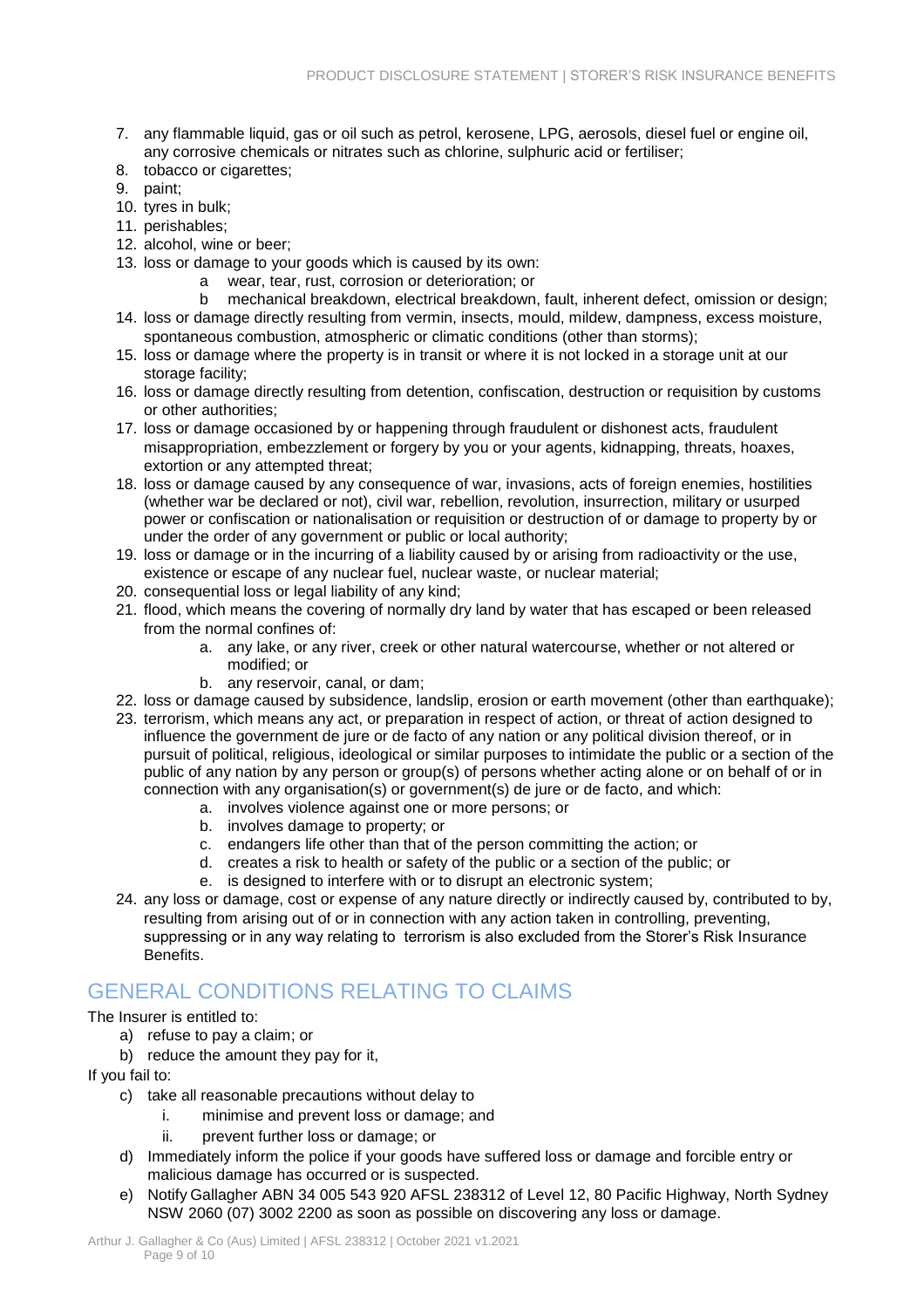- 7. any flammable liquid, gas or oil such as petrol, kerosene, LPG, aerosols, diesel fuel or engine oil, any corrosive chemicals or nitrates such as chlorine, sulphuric acid or fertiliser;
- 8. tobacco or cigarettes;
- 9. paint;
- 10. tyres in bulk;
- 11. perishables;
- 12. alcohol, wine or beer;
- 13. loss or damage to your goods which is caused by its own:
	- a wear, tear, rust, corrosion or deterioration; or
- b mechanical breakdown, electrical breakdown, fault, inherent defect, omission or design; 14. loss or damage directly resulting from vermin, insects, mould, mildew, dampness, excess moisture,
- spontaneous combustion, atmospheric or climatic conditions (other than storms);
- 15. loss or damage where the property is in transit or where it is not locked in a storage unit at our storage facility;
- 16. loss or damage directly resulting from detention, confiscation, destruction or requisition by customs or other authorities;
- 17. loss or damage occasioned by or happening through fraudulent or dishonest acts, fraudulent misappropriation, embezzlement or forgery by you or your agents, kidnapping, threats, hoaxes, extortion or any attempted threat;
- 18. loss or damage caused by any consequence of war, invasions, acts of foreign enemies, hostilities (whether war be declared or not), civil war, rebellion, revolution, insurrection, military or usurped power or confiscation or nationalisation or requisition or destruction of or damage to property by or under the order of any government or public or local authority;
- 19. loss or damage or in the incurring of a liability caused by or arising from radioactivity or the use, existence or escape of any nuclear fuel, nuclear waste, or nuclear material;
- 20. consequential loss or legal liability of any kind;
- 21. flood, which means the covering of normally dry land by water that has escaped or been released from the normal confines of:
	- a. any lake, or any river, creek or other natural watercourse, whether or not altered or modified; or
	- b. any reservoir, canal, or dam;
- 22. loss or damage caused by subsidence, landslip, erosion or earth movement (other than earthquake);
- 23. terrorism, which means any act, or preparation in respect of action, or threat of action designed to influence the government de jure or de facto of any nation or any political division thereof, or in pursuit of political, religious, ideological or similar purposes to intimidate the public or a section of the public of any nation by any person or group(s) of persons whether acting alone or on behalf of or in connection with any organisation(s) or government(s) de jure or de facto, and which:
	- a. involves violence against one or more persons; or
	- b. involves damage to property; or
	- c. endangers life other than that of the person committing the action; or
	- d. creates a risk to health or safety of the public or a section of the public; or
	- e. is designed to interfere with or to disrupt an electronic system;
- 24. any loss or damage, cost or expense of any nature directly or indirectly caused by, contributed to by, resulting from arising out of or in connection with any action taken in controlling, preventing, suppressing or in any way relating to terrorism is also excluded from the Storer's Risk Insurance Benefits.

## GENERAL CONDITIONS RELATING TO CLAIMS

The Insurer is entitled to:

- a) refuse to pay a claim; or
- b) reduce the amount they pay for it,

If you fail to:

- c) take all reasonable precautions without delay to
	- i. minimise and prevent loss or damage; and
	- ii. prevent further loss or damage; or
- d) Immediately inform the police if your goods have suffered loss or damage and forcible entry or malicious damage has occurred or is suspected.
- e) Notify Gallagher ABN 34 005 543 920 AFSL 238312 of Level 12, 80 Pacific Highway, North Sydney NSW 2060 (07) 3002 2200 as soon as possible on discovering any loss or damage.